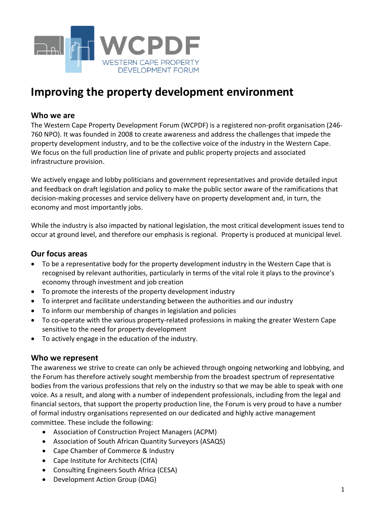

# **Improving the property development environment**

#### **Who we are**

The Western Cape Property Development Forum (WCPDF) is a registered non-profit organisation (246- 760 NPO). It was founded in 2008 to create awareness and address the challenges that impede the property development industry, and to be the collective voice of the industry in the Western Cape. We focus on the full production line of private and public property projects and associated infrastructure provision.

We actively engage and lobby politicians and government representatives and provide detailed input and feedback on draft legislation and policy to make the public sector aware of the ramifications that decision-making processes and service delivery have on property development and, in turn, the economy and most importantly jobs.

While the industry is also impacted by national legislation, the most critical development issues tend to occur at ground level, and therefore our emphasis is regional. Property is produced at municipal level.

### **Our focus areas**

- To be a representative body for the property development industry in the Western Cape that is recognised by relevant authorities, particularly in terms of the vital role it plays to the province's economy through investment and job creation
- To promote the interests of the property development industry
- To interpret and facilitate understanding between the authorities and our industry
- To inform our membership of changes in legislation and policies
- To co-operate with the various property-related professions in making the greater Western Cape sensitive to the need for property development
- To actively engage in the education of the industry.

#### **Who we represent**

The awareness we strive to create can only be achieved through ongoing networking and lobbying, and the Forum has therefore actively sought membership from the broadest spectrum of representative bodies from the various professions that rely on the industry so that we may be able to speak with one voice. As a result, and along with a number of independent professionals, including from the legal and financial sectors, that support the property production line, the Forum is very proud to have a number of formal industry organisations represented on our dedicated and highly active management committee. These include the following:

- Association of Construction Project Managers (ACPM)
- Association of South African Quantity Surveyors (ASAQS)
- Cape Chamber of Commerce & Industry
- Cape Institute for Architects (CIfA)
- Consulting Engineers South Africa (CESA)
- Development Action Group (DAG)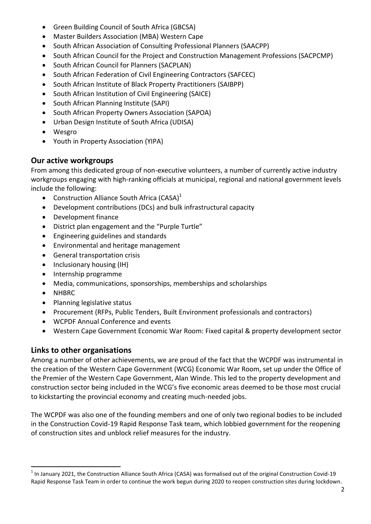- Green Building Council of South Africa (GBCSA)
- Master Builders Association (MBA) Western Cape
- South African Association of Consulting Professional Planners (SAACPP)
- South African Council for the Project and Construction Management Professions (SACPCMP)
- South African Council for Planners (SACPLAN)
- South African Federation of Civil Engineering Contractors (SAFCEC)
- South African Institute of Black Property Practitioners (SAIBPP)
- South African Institution of Civil Engineering (SAICE)
- South African Planning Institute (SAPI)
- South African Property Owners Association (SAPOA)
- Urban Design Institute of South Africa (UDISA)
- Wesgro
- Youth in Property Association (YIPA)

## **Our active workgroups**

From among this dedicated group of non-executive volunteers, a number of currently active industry workgroups engaging with high-ranking officials at municipal, regional and national government levels include the following:

- Construction Alliance South Africa (CASA) $<sup>1</sup>$ </sup>
- Development contributions (DCs) and bulk infrastructural capacity
- Development finance
- District plan engagement and the "Purple Turtle"
- Engineering guidelines and standards
- Environmental and heritage management
- General transportation crisis
- Inclusionary housing (IH)
- Internship programme
- Media, communications, sponsorships, memberships and scholarships
- NHBRC

 $\ddot{\phantom{a}}$ 

- Planning legislative status
- Procurement (RFPs, Public Tenders, Built Environment professionals and contractors)
- WCPDF Annual Conference and events
- Western Cape Government Economic War Room: Fixed capital & property development sector

# **Links to other organisations**

Among a number of other achievements, we are proud of the fact that the WCPDF was instrumental in the creation of the Western Cape Government (WCG) Economic War Room, set up under the Office of the Premier of the Western Cape Government, Alan Winde. This led to the property development and construction sector being included in the WCG's five economic areas deemed to be those most crucial to kickstarting the provincial economy and creating much-needed jobs.

The WCPDF was also one of the founding members and one of only two regional bodies to be included in the Construction Covid-19 Rapid Response Task team, which lobbied government for the reopening of construction sites and unblock relief measures for the industry.

 $1$ In January 2021, the Construction Alliance South Africa (CASA) was formalised out of the original Construction Covid-19 Rapid Response Task Team in order to continue the work begun during 2020 to reopen construction sites during lockdown.